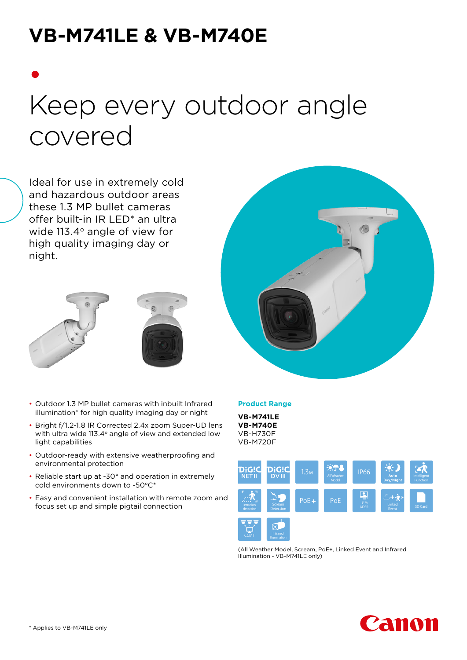# **VB-M741LE & VB-M740E**

# • Keep every outdoor angle covered

Ideal for use in extremely cold and hazardous outdoor areas these 1.3 MP bullet cameras offer built-in IR LED\* an ultra wide  $113.4^\circ$  angle of view for high quality imaging day or night.





- Outdoor 1.3 MP bullet cameras with inbuilt Infrared illumination\* for high quality imaging day or night
- Bright f/1.2-1.8 IR Corrected 2.4x zoom Super-UD lens with ultra wide 113.4 $\degree$  angle of view and extended low light capabilities
- Outdoor-ready with extensive weatherproofing and environmental protection
- Reliable start up at -30° and operation in extremely cold environments down to -50°C\*
- Easy and convenient installation with remote zoom and focus set up and simple pigtail connection



#### **Product Range**

**VB-M741LE VB-M740E** VB-H730F VB-M720F



(All Weather Model, Scream, PoE+, Linked Event and Infrared Illumination - VB-M741LE only)

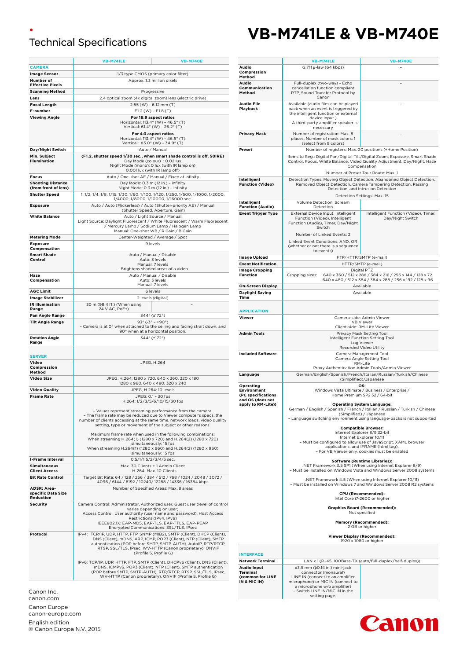## • Technical Specifications

|                                                   | <b>VB-M741LE</b>                                                                                                 | <b>VB-M740E</b>                                                                                                                                   |  |
|---------------------------------------------------|------------------------------------------------------------------------------------------------------------------|---------------------------------------------------------------------------------------------------------------------------------------------------|--|
| <b>CAMERA</b>                                     |                                                                                                                  |                                                                                                                                                   |  |
| <b>Image Sensor</b>                               | 1/3 type CMOS (primary color filter)                                                                             |                                                                                                                                                   |  |
| Number of<br><b>Effective Pixels</b>              | Approx. 1.3 million pixels                                                                                       |                                                                                                                                                   |  |
| <b>Scanning Method</b>                            | Progressive                                                                                                      |                                                                                                                                                   |  |
| Lens                                              |                                                                                                                  | 2.4 optical zoom (4x digital zoom) lens (electric drive)                                                                                          |  |
| <b>Focal Length</b>                               | $2.55$ (W) - 6.12 mm (T)                                                                                         |                                                                                                                                                   |  |
| F-number                                          |                                                                                                                  | $F1.2$ (W) - $F1.8$ (T)                                                                                                                           |  |
| <b>Viewing Angle</b>                              | For 16:9 aspect ratios<br>Horizontal: 113.4° (W) - 46.5° (T)                                                     |                                                                                                                                                   |  |
|                                                   | Vertical: 61.4° (W) - 26.2° (T)                                                                                  |                                                                                                                                                   |  |
|                                                   | For 4:3 aspect ratios                                                                                            |                                                                                                                                                   |  |
|                                                   | Horizontal: 113.4° (W) - 46.5° (T)<br>Vertical: 83.0° (W) - 34.9° (T)                                            |                                                                                                                                                   |  |
| Day/Night Switch                                  | Auto / Manual                                                                                                    |                                                                                                                                                   |  |
| Min. Subject<br>Illumination                      | (F1.2, shutter speed 1/30 sec., when smart shade control is off, 50IRE)<br>Day Mode (colour) : 0.02 lux          |                                                                                                                                                   |  |
|                                                   | Night Mode (mono): 0 lux (with IR lamp on)                                                                       |                                                                                                                                                   |  |
| <b>Focus</b>                                      | 0.001 lux (with IR lamp off)<br>Auto / One-shot AF / Manual / Fixed at infinity                                  |                                                                                                                                                   |  |
| <b>Shooting Distance</b>                          | Day Mode: 0.3 m (12 in.) - infinity                                                                              |                                                                                                                                                   |  |
| (from front of lens)                              | Night Mode: 0.3 m (12 in.) - infinity                                                                            |                                                                                                                                                   |  |
| <b>Shutter Speed</b>                              | 1, 1/2, 1/4, 1/8, 1/15, 1/30, 1/60, 1/100, 1/120, 1/250, 1/500, 1/1000, 1/2000,                                  |                                                                                                                                                   |  |
| <b>Exposure</b>                                   | 1/4000, 1/8000, 1/10000, 1/16000 sec.<br>Auto / Auto (Flickerless) / Auto (Shutter-priority AE) / Manual         |                                                                                                                                                   |  |
|                                                   | (Shutter Speed, Aperture, Gain)                                                                                  |                                                                                                                                                   |  |
| <b>White Balance</b>                              |                                                                                                                  | Auto / Light Source / Manual<br>Light Source: Daylight Fluorescent / White Fluorescent / Warm Fluorescent                                         |  |
|                                                   |                                                                                                                  | / Mercury Lamp / Sodium Lamp / Halogen Lamp                                                                                                       |  |
|                                                   |                                                                                                                  | Manual: One-shot WB / R Gain / B Gain                                                                                                             |  |
| <b>Metering Mode</b><br><b>Exposure</b>           |                                                                                                                  | Center-Weighted / Average / Spot<br>9 levels                                                                                                      |  |
| Compensation                                      |                                                                                                                  |                                                                                                                                                   |  |
| <b>Smart Shade</b>                                |                                                                                                                  | Auto / Manual / Disable                                                                                                                           |  |
| Control                                           |                                                                                                                  | Auto: 3 levels<br>Manual: 7 levels                                                                                                                |  |
|                                                   | - Brightens shaded areas of a video                                                                              |                                                                                                                                                   |  |
| Haze<br>Compensation                              |                                                                                                                  | Auto / Manual / Disable<br>Auto: 3 levels                                                                                                         |  |
|                                                   |                                                                                                                  | Manual: 7 levels                                                                                                                                  |  |
| <b>AGC Limit</b>                                  |                                                                                                                  | 6 levels                                                                                                                                          |  |
| <b>Image Stabilizer</b><br><b>IR Illumination</b> |                                                                                                                  | 2 levels (digital)                                                                                                                                |  |
| Range                                             | 30 m (98.4 ft.) (When using<br>24 V AC, PoE+)                                                                    |                                                                                                                                                   |  |
| Pan Angle Range                                   |                                                                                                                  | 344° (±172°)                                                                                                                                      |  |
| <b>Tilt Angle Range</b>                           |                                                                                                                  | $93^{\circ}$ (-3° - +90°)                                                                                                                         |  |
|                                                   | - Camera is at 0° when attached to the ceiling and facing strait down, and<br>90° when at a horizontal position. |                                                                                                                                                   |  |
| <b>Rotation Angle</b>                             | 344° (±172°)                                                                                                     |                                                                                                                                                   |  |
| Range                                             |                                                                                                                  |                                                                                                                                                   |  |
| <b>SERVER</b>                                     |                                                                                                                  |                                                                                                                                                   |  |
| Video                                             |                                                                                                                  | JPEG, H.264                                                                                                                                       |  |
| Compression<br>Method                             |                                                                                                                  |                                                                                                                                                   |  |
| Video Size                                        | JPEG, H.264: 1280 x 720, 640 x 360, 320 x 180                                                                    |                                                                                                                                                   |  |
|                                                   |                                                                                                                  | 1280 x 960, 640 x 480, 320 x 240                                                                                                                  |  |
| <b>Video Quality</b><br><b>Frame Rate</b>         | JPEG, H.264: 10 levels<br>JPEG: 0.1 - 30 fps                                                                     |                                                                                                                                                   |  |
|                                                   | H.264: 1/2/3/5/6/10/15/30 fps                                                                                    |                                                                                                                                                   |  |
|                                                   |                                                                                                                  | – Values represent streaming performance from the camera.                                                                                         |  |
|                                                   |                                                                                                                  | – The frame rate may be reduced due to Viewer computer's specs, the<br>number of clients accessing at the same time, network loads, video quality |  |
|                                                   |                                                                                                                  | setting, type or movement of the subject or other reasons.                                                                                        |  |
|                                                   |                                                                                                                  | Maximum frame rate when used in the following combinations:                                                                                       |  |
|                                                   | When streaming H.264(1) (1280 x 720) and H.264(2) (1280 x 720)<br>simultaneously: 15 fps                         |                                                                                                                                                   |  |
|                                                   |                                                                                                                  | When streaming H.264(1) (1280 x 960) and H.264(2) (1280 x 960)                                                                                    |  |
| <b>I-Frame Interval</b>                           |                                                                                                                  | simultaneously: 15 fps<br>0.5/1/1.5/2/3/4/5 sec.                                                                                                  |  |
| <b>Simultaneous</b>                               |                                                                                                                  | Max. 30 Clients + 1 Admin Client                                                                                                                  |  |
| <b>Client Access</b>                              |                                                                                                                  | - H.264: Max. 10 Clients                                                                                                                          |  |
| <b>Bit Rate Control</b>                           |                                                                                                                  | Target Bit Rate: 64 / 128 / 256 / 384 / 512 / 768 / 1024 / 2048 / 3072 /<br>4096 / 6144 / 8192 / 10240/ 12288 / 14336 / 16384 kbps                |  |
| ADSR: Area-                                       |                                                                                                                  | Number of Specified Areas: Max. 8 areas                                                                                                           |  |
| specific Data Size<br>Reduction                   |                                                                                                                  |                                                                                                                                                   |  |
| <b>Security</b>                                   |                                                                                                                  | Camera Control: Administrator, Authorized user, Guest user (level of control                                                                      |  |
|                                                   |                                                                                                                  | varies depending on user)                                                                                                                         |  |
|                                                   | Access Control: User authority (user name and password), Host Access<br>Restrictions (IPv4, IPv6)                |                                                                                                                                                   |  |
|                                                   |                                                                                                                  | IEEE802.1X: EAP-MD5, EAP-TLS, EAP-TTLS, EAP-PEAP<br>Encrypted Communications: SSL/TLS, IPsec                                                      |  |
| Protocol                                          |                                                                                                                  | IPv4: TCP/IP, UDP, HTTP, FTP, SNMP (MIB2), SMTP (Client), DHCP (Client),                                                                          |  |
|                                                   |                                                                                                                  | DNS (Client), mDNS, ARP, ICMP, POP3 (Client), NTP (Client), SMTP<br>authentication (POP before SMTP, SMTP-AUTH), AutoIP, RTP/RTCP,                |  |
|                                                   |                                                                                                                  | RTSP, SSL/TLS, IPsec, WV-HTTP (Canon proprietary), ONVIF                                                                                          |  |
|                                                   |                                                                                                                  | (Profile S, Profile G)                                                                                                                            |  |
|                                                   |                                                                                                                  | IPv6: TCP/IP, UDP, HTTP, FTP, SMTP (Client), DHCPv6 (Client), DNS (Client),                                                                       |  |
|                                                   |                                                                                                                  | mDNS, ICMPv6, POP3 (Client), NTP (Client), SMTP authentication<br>(POP before SMTP, SMTP-AUTH), RTP/RTCP, RTSP, SSL/TLS, IPsec,                   |  |
|                                                   |                                                                                                                  | WV-HTTP (Canon proprietary), ONVIF (Profile S, Profile G)                                                                                         |  |

Canon Inc. canon.com Canon Europe canon-europe.com English edition **©** Canon Europa N.V.,2015

# **VB-M741LE & VB-M740E**

|                                                                                                 | <b>VB-M741LE</b>                                                                                                                                                                                                                                   | <b>VB-M740E</b>                                                                                                |
|-------------------------------------------------------------------------------------------------|----------------------------------------------------------------------------------------------------------------------------------------------------------------------------------------------------------------------------------------------------|----------------------------------------------------------------------------------------------------------------|
| Audio<br>Compression<br>Method                                                                  | G.711 µ-law (64 kbps)                                                                                                                                                                                                                              |                                                                                                                |
| Audio<br>Communication<br>Method                                                                | Full-duplex (two-way) - Echo<br>cancellation function compliant<br>RTP, Sound Transfer Protocol by<br>Canon                                                                                                                                        |                                                                                                                |
| Audio File<br>Playback                                                                          | Available (audio files can be played<br>back when an event is triggered by<br>the intelligent function or external<br>device input.)                                                                                                               |                                                                                                                |
|                                                                                                 | - A third-party amplifier speaker is<br>necessary                                                                                                                                                                                                  |                                                                                                                |
| Privacy Mask                                                                                    | Number of registration: Max. 8<br>places, Number of mask colors: 1<br>(select from 9 colors)                                                                                                                                                       |                                                                                                                |
| Preset                                                                                          | Number of registers: Max. 20 positions (+Home Position)<br>Items to Reg.: Digital Pan/Digital Tilt/Digital Zoom, Exposure, Smart Shade<br>Control, Focus, White Balance, Video Quality Adjustment, Day/Night, Haze<br>Compensation                 |                                                                                                                |
| Intelligent<br><b>Function (Video)</b>                                                          | Number of Preset Tour Route: Max. 1<br>Detection Types: Moving Object Detection, Abandoned Object Detection,<br>Removed Object Detection, Camera Tampering Detection, Passing<br>Detection, and Intrusion Detection<br>Detection Settings: Max. 15 |                                                                                                                |
| Intelligent                                                                                     | Volume Detection, Scream                                                                                                                                                                                                                           |                                                                                                                |
| <b>Function (Audio)</b><br><b>Event Trigger Type</b>                                            | Detection<br>External Device Input, Intelligent<br>Function (Video), Intelligent<br>Function (Audio), Timer, Day/Night<br>Switch<br>Number of Linked Events: 2<br>Linked Event Conditions: AND, OR<br>(whether or not there is a sequence          | Intelligent Function (Video), Timer,<br>Day/Night Switch                                                       |
| Image Upload                                                                                    | to events)                                                                                                                                                                                                                                         | FTP/HTTP/SMTP (e-mail)                                                                                         |
| <b>Event Notification</b>                                                                       |                                                                                                                                                                                                                                                    | HTTP/SMTP (e-mail)                                                                                             |
| <b>Image Cropping</b><br><b>Function</b>                                                        | Digital PTZ<br>640 x 360 / 512 x 288 / 384 x 216 / 256 x 144 / 128 x 72<br>Cropping sizes:<br>640 x 480 / 512 x 384 / 384 x 288 / 256 x 192 / 128 x 96                                                                                             |                                                                                                                |
| <b>On-Screen Display</b>                                                                        | Available                                                                                                                                                                                                                                          |                                                                                                                |
| <b>Daylight Saving</b><br>Time                                                                  | Available                                                                                                                                                                                                                                          |                                                                                                                |
| <b>APPLICATION</b>                                                                              |                                                                                                                                                                                                                                                    |                                                                                                                |
| Viewer                                                                                          | Camera-side: Admin Viewer<br><b>VB Viewer</b><br>Client-side: RM-Lite Viewer                                                                                                                                                                       |                                                                                                                |
| <b>Admin Tools</b>                                                                              | Privacy Mask Setting Tool<br>Intelligent Function Setting Tool<br>Log Viewer<br>Recorded Video Utility                                                                                                                                             |                                                                                                                |
| <b>Included Software</b>                                                                        | Camera Management Tool<br>Camera Angle Setting Tool<br>RM-Lite                                                                                                                                                                                     |                                                                                                                |
| Language                                                                                        |                                                                                                                                                                                                                                                    | Proxy Authentication Admin Tools/Admin Viewer<br>German/English/Spanish/French/Italian/Russian/Turkish/Chinese |
| Operating<br><b>Environment</b><br>(PC specifications<br>and OS (does not<br>apply to RM-Lite)) | (Simplified)/Japanese<br>OS:<br>Windows Vista Ultimate / Business / Enterprise /<br>Home Premium SP2 32 / 64-bit<br><b>Operating System Language:</b>                                                                                              |                                                                                                                |
|                                                                                                 | German / English / Spanish / French / Italian / Russian / Turkish / Chinese<br>(Simplified) / Japanese<br>- Language switching environment using language-packs is not supported                                                                   |                                                                                                                |
|                                                                                                 | <b>Compatible Browser:</b><br>Internet Explorer 8/9 32-bit                                                                                                                                                                                         |                                                                                                                |
|                                                                                                 | Internet Explorer 10/11<br>- Must be configured to allow use of JavaScript, XAML browser<br>applications, and IFRAME (html tag).<br>- For VB Viewer only, cookies must be enabled                                                                  |                                                                                                                |
|                                                                                                 | <b>Software (Runtime Libraries):</b><br>.NET Framework 3.5 SP1 (When using Internet Explorer 8/9)<br>- Must be installed on Windows Vista and Windows Server 2008 systems                                                                          |                                                                                                                |
|                                                                                                 | .NET Framework 4.5 (When using Internet Explorer 10/11)<br>- Must be installed on Windows 7 and Windows Server 2008 R2 systems                                                                                                                     |                                                                                                                |
|                                                                                                 | CPU (Recommended):<br>Intel Core i7-2600 or higher                                                                                                                                                                                                 |                                                                                                                |
|                                                                                                 | <b>Graphics Board (Recommended):</b><br>Not specified                                                                                                                                                                                              |                                                                                                                |
|                                                                                                 |                                                                                                                                                                                                                                                    | <b>Memory (Recommended):</b><br>2 GB or higher                                                                 |
|                                                                                                 | <b>Viewer Display (Recommended):</b><br>1920 x 1080 or higher                                                                                                                                                                                      |                                                                                                                |
| <b>INTERFACE</b>                                                                                |                                                                                                                                                                                                                                                    |                                                                                                                |
| <b>Network Terminal</b><br>Audio Input<br><b>Terminal</b><br>(common for LINE<br>IN & MIC IN)   | ф3.5 mm (ф0.14 in.) mini-jack<br>connector (monaural)<br>LINE IN (connect to an amplifier<br>microphone) or MIC IN (connect to<br>a microphone w/o amplifier)<br>- Switch LINE IN/MIC IN in the<br>setting page.                                   | LAN x 1 (RJ45, 100Base-TX (auto/full-duplex/half-duplex))                                                      |